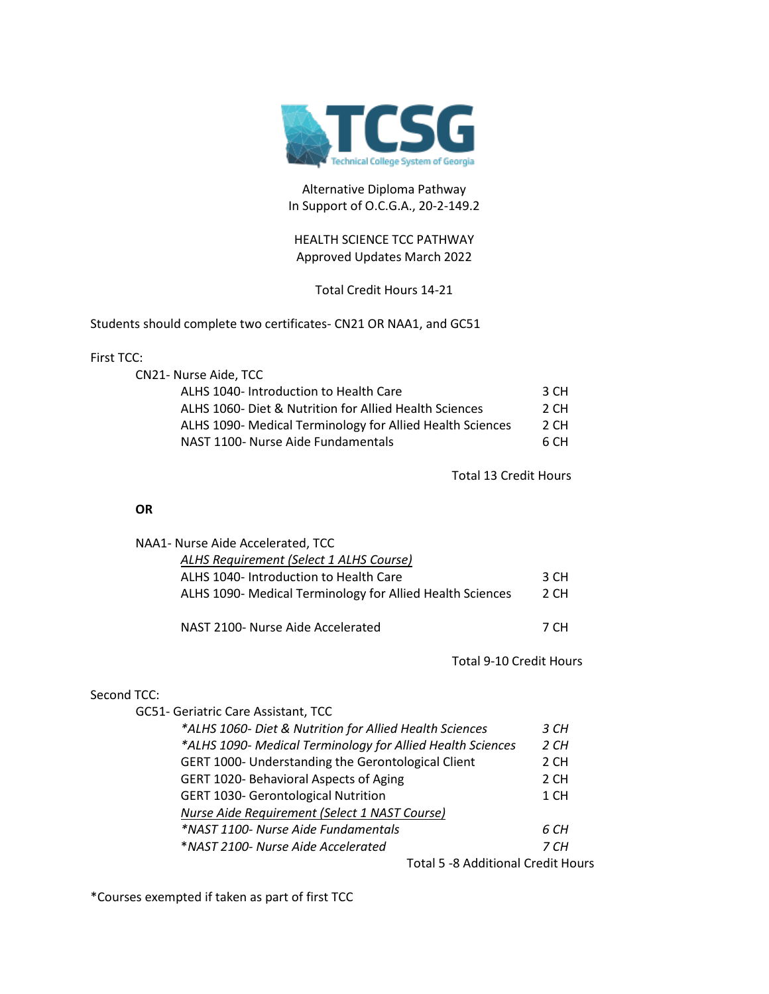

## Alternative Diploma Pathway In Support of O.C.G.A., 20-2-149.2

## HEALTH SCIENCE TCC PATHWAY Approved Updates March 2022

# Total Credit Hours 14-21

Students should complete two certificates- CN21 OR NAA1, and GC51

#### First TCC:

| CN21- Nurse Aide, TCC                                     |      |
|-----------------------------------------------------------|------|
| ALHS 1040- Introduction to Health Care                    | 3 CH |
| ALHS 1060- Diet & Nutrition for Allied Health Sciences    | 2 CH |
| ALHS 1090- Medical Terminology for Allied Health Sciences | 2 CH |
| NAST 1100- Nurse Aide Fundamentals                        | 6 CH |

Total 13 Credit Hours

### **OR**

| NAA1- Nurse Aide Accelerated, TCC                         |      |
|-----------------------------------------------------------|------|
| ALHS Requirement (Select 1 ALHS Course)                   |      |
| ALHS 1040- Introduction to Health Care                    | 3 CH |
| ALHS 1090- Medical Terminology for Allied Health Sciences | 2 CH |
|                                                           |      |
| NAST 2100- Nurse Aide Accelerated                         | 7 CH |

Total 9-10 Credit Hours

### Second TCC:

| GC51- Geriatric Care Assistant, TCC                        |      |
|------------------------------------------------------------|------|
| *ALHS 1060- Diet & Nutrition for Allied Health Sciences    | 3 CH |
| *ALHS 1090- Medical Terminology for Allied Health Sciences | 2 CH |
| GERT 1000- Understanding the Gerontological Client         | 2 CH |
| GERT 1020- Behavioral Aspects of Aging                     | 2 CH |
| <b>GERT 1030- Gerontological Nutrition</b>                 | 1 CH |
| Nurse Aide Requirement (Select 1 NAST Course)              |      |
| *NAST 1100- Nurse Aide Fundamentals                        | 6 CH |
| *NAST 2100- Nurse Aide Accelerated                         | 7 CH |
| Total 5 -8 Additional Credit Hours                         |      |

\*Courses exempted if taken as part of first TCC